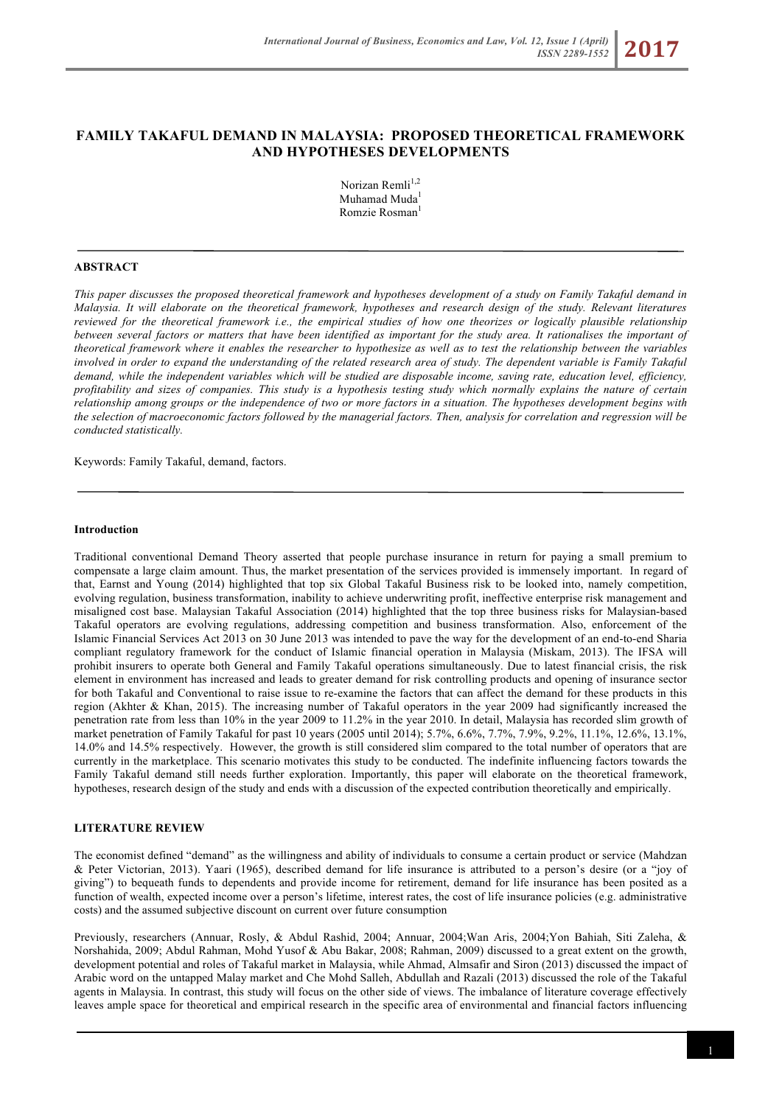# **FAMILY TAKAFUL DEMAND IN MALAYSIA: PROPOSED THEORETICAL FRAMEWORK AND HYPOTHESES DEVELOPMENTS**

Norizan Remli<sup>1,2</sup> Muhamad Muda<sup>1</sup> Romzie Rosman<sup>1</sup>

#### **ABSTRACT**

*This paper discusses the proposed theoretical framework and hypotheses development of a study on Family Takaful demand in Malaysia. It will elaborate on the theoretical framework, hypotheses and research design of the study. Relevant literatures reviewed for the theoretical framework i.e., the empirical studies of how one theorizes or logically plausible relationship between several factors or matters that have been identified as important for the study area. It rationalises the important of theoretical framework where it enables the researcher to hypothesize as well as to test the relationship between the variables involved in order to expand the understanding of the related research area of study. The dependent variable is Family Takaful demand, while the independent variables which will be studied are disposable income, saving rate, education level, efficiency, profitability and sizes of companies. This study is a hypothesis testing study which normally explains the nature of certain relationship among groups or the independence of two or more factors in a situation. The hypotheses development begins with the selection of macroeconomic factors followed by the managerial factors. Then, analysis for correlation and regression will be conducted statistically.*

Keywords: Family Takaful, demand, factors.

#### **Introduction**

Traditional conventional Demand Theory asserted that people purchase insurance in return for paying a small premium to compensate a large claim amount. Thus, the market presentation of the services provided is immensely important. In regard of that, Earnst and Young (2014) highlighted that top six Global Takaful Business risk to be looked into, namely competition, evolving regulation, business transformation, inability to achieve underwriting profit, ineffective enterprise risk management and misaligned cost base. Malaysian Takaful Association (2014) highlighted that the top three business risks for Malaysian-based Takaful operators are evolving regulations, addressing competition and business transformation. Also, enforcement of the Islamic Financial Services Act 2013 on 30 June 2013 was intended to pave the way for the development of an end-to-end Sharia compliant regulatory framework for the conduct of Islamic financial operation in Malaysia (Miskam, 2013). The IFSA will prohibit insurers to operate both General and Family Takaful operations simultaneously. Due to latest financial crisis, the risk element in environment has increased and leads to greater demand for risk controlling products and opening of insurance sector for both Takaful and Conventional to raise issue to re-examine the factors that can affect the demand for these products in this region (Akhter & Khan, 2015). The increasing number of Takaful operators in the year 2009 had significantly increased the penetration rate from less than 10% in the year 2009 to 11.2% in the year 2010. In detail, Malaysia has recorded slim growth of market penetration of Family Takaful for past 10 years (2005 until 2014); 5.7%, 6.6%, 7.7%, 7.9%, 9.2%, 11.1%, 12.6%, 13.1%, 14.0% and 14.5% respectively. However, the growth is still considered slim compared to the total number of operators that are currently in the marketplace. This scenario motivates this study to be conducted. The indefinite influencing factors towards the Family Takaful demand still needs further exploration. Importantly, this paper will elaborate on the theoretical framework, hypotheses, research design of the study and ends with a discussion of the expected contribution theoretically and empirically.

### **LITERATURE REVIEW**

The economist defined "demand" as the willingness and ability of individuals to consume a certain product or service (Mahdzan & Peter Victorian, 2013). Yaari (1965), described demand for life insurance is attributed to a person's desire (or a "joy of giving") to bequeath funds to dependents and provide income for retirement, demand for life insurance has been posited as a function of wealth, expected income over a person's lifetime, interest rates, the cost of life insurance policies (e.g. administrative costs) and the assumed subjective discount on current over future consumption

Previously, researchers (Annuar, Rosly, & Abdul Rashid, 2004; Annuar, 2004;Wan Aris, 2004;Yon Bahiah, Siti Zaleha, & Norshahida, 2009; Abdul Rahman, Mohd Yusof & Abu Bakar, 2008; Rahman, 2009) discussed to a great extent on the growth, development potential and roles of Takaful market in Malaysia, while Ahmad, Almsafir and Siron (2013) discussed the impact of Arabic word on the untapped Malay market and Che Mohd Salleh, Abdullah and Razali (2013) discussed the role of the Takaful agents in Malaysia. In contrast, this study will focus on the other side of views. The imbalance of literature coverage effectively leaves ample space for theoretical and empirical research in the specific area of environmental and financial factors influencing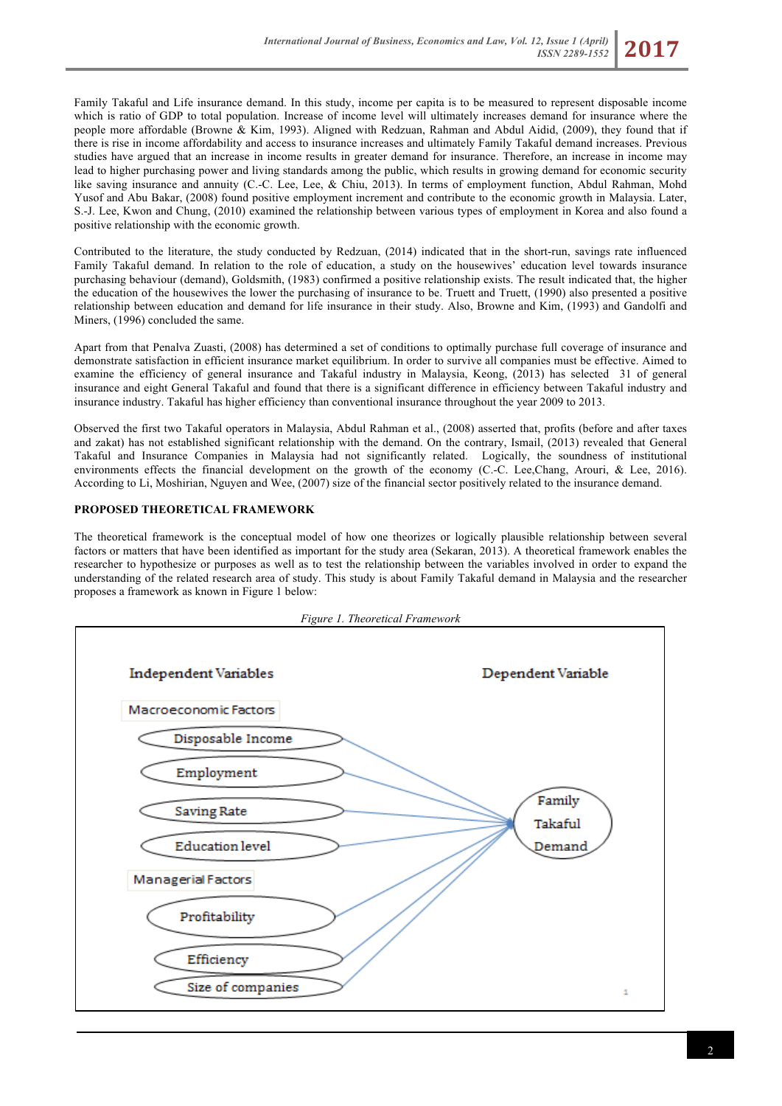Family Takaful and Life insurance demand. In this study, income per capita is to be measured to represent disposable income which is ratio of GDP to total population. Increase of income level will ultimately increases demand for insurance where the people more affordable (Browne & Kim, 1993). Aligned with Redzuan, Rahman and Abdul Aidid, (2009), they found that if there is rise in income affordability and access to insurance increases and ultimately Family Takaful demand increases. Previous studies have argued that an increase in income results in greater demand for insurance. Therefore, an increase in income may lead to higher purchasing power and living standards among the public, which results in growing demand for economic security like saving insurance and annuity (C.-C. Lee, Lee, & Chiu, 2013). In terms of employment function, Abdul Rahman, Mohd Yusof and Abu Bakar, (2008) found positive employment increment and contribute to the economic growth in Malaysia. Later, S.-J. Lee, Kwon and Chung, (2010) examined the relationship between various types of employment in Korea and also found a positive relationship with the economic growth.

Contributed to the literature, the study conducted by Redzuan, (2014) indicated that in the short-run, savings rate influenced Family Takaful demand. In relation to the role of education, a study on the housewives' education level towards insurance purchasing behaviour (demand), Goldsmith, (1983) confirmed a positive relationship exists. The result indicated that, the higher the education of the housewives the lower the purchasing of insurance to be. Truett and Truett, (1990) also presented a positive relationship between education and demand for life insurance in their study. Also, Browne and Kim, (1993) and Gandolfi and Miners, (1996) concluded the same.

Apart from that Penalva Zuasti, (2008) has determined a set of conditions to optimally purchase full coverage of insurance and demonstrate satisfaction in efficient insurance market equilibrium. In order to survive all companies must be effective. Aimed to examine the efficiency of general insurance and Takaful industry in Malaysia, Keong, (2013) has selected 31 of general insurance and eight General Takaful and found that there is a significant difference in efficiency between Takaful industry and insurance industry. Takaful has higher efficiency than conventional insurance throughout the year 2009 to 2013.

Observed the first two Takaful operators in Malaysia, Abdul Rahman et al., (2008) asserted that, profits (before and after taxes and zakat) has not established significant relationship with the demand. On the contrary, Ismail, (2013) revealed that General Takaful and Insurance Companies in Malaysia had not significantly related. Logically, the soundness of institutional environments effects the financial development on the growth of the economy (C.-C. Lee,Chang, Arouri, & Lee, 2016). According to Li, Moshirian, Nguyen and Wee, (2007) size of the financial sector positively related to the insurance demand.

# **PROPOSED THEORETICAL FRAMEWORK**

The theoretical framework is the conceptual model of how one theorizes or logically plausible relationship between several factors or matters that have been identified as important for the study area (Sekaran, 2013). A theoretical framework enables the researcher to hypothesize or purposes as well as to test the relationship between the variables involved in order to expand the understanding of the related research area of study. This study is about Family Takaful demand in Malaysia and the researcher proposes a framework as known in Figure 1 below:

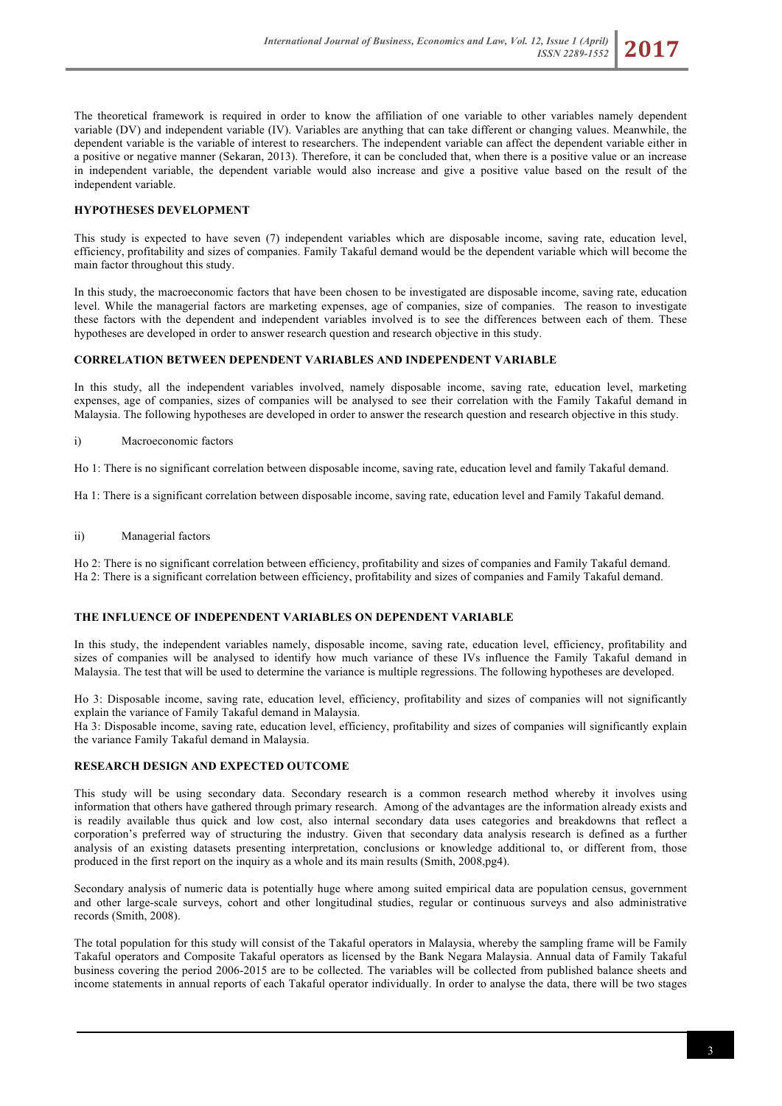The theoretical framework is required in order to know the affiliation of one variable to other variables namely dependent variable (DV) and independent variable (IV). Variables are anything that can take different or changing values. Meanwhile, the dependent variable is the variable of interest to researchers. The independent variable can affect the dependent variable either in a positive or negative manner (Sekaran, 2013). Therefore, it can be concluded that, when there is a positive value or an increase in independent variable, the dependent variable would also increase and give a positive value based on the result of the independent variable.

# **HYPOTHESES DEVELOPMENT**

This study is expected to have seven (7) independent variables which are disposable income, saving rate, education level, efficiency, profitability and sizes of companies. Family Takaful demand would be the dependent variable which will become the main factor throughout this study.

In this study, the macroeconomic factors that have been chosen to be investigated are disposable income, saving rate, education level. While the managerial factors are marketing expenses, age of companies, size of companies. The reason to investigate these factors with the dependent and independent variables involved is to see the differences between each of them. These hypotheses are developed in order to answer research question and research objective in this study.

### **CORRELATION BETWEEN DEPENDENT VARIABLES AND INDEPENDENT VARIABLE**

In this study, all the independent variables involved, namely disposable income, saving rate, education level, marketing expenses, age of companies, sizes of companies will be analysed to see their correlation with the Family Takaful demand in Malaysia. The following hypotheses are developed in order to answer the research question and research objective in this study.

i) Macroeconomic factors

Ho 1: There is no significant correlation between disposable income, saving rate, education level and family Takaful demand.

Ha 1: There is a significant correlation between disposable income, saving rate, education level and Family Takaful demand.

ii) Managerial factors

Ho 2: There is no significant correlation between efficiency, profitability and sizes of companies and Family Takaful demand. Ha 2: There is a significant correlation between efficiency, profitability and sizes of companies and Family Takaful demand.

## **THE INFLUENCE OF INDEPENDENT VARIABLES ON DEPENDENT VARIABLE**

In this study, the independent variables namely, disposable income, saving rate, education level, efficiency, profitability and sizes of companies will be analysed to identify how much variance of these IVs influence the Family Takaful demand in Malaysia. The test that will be used to determine the variance is multiple regressions. The following hypotheses are developed.

Ho 3: Disposable income, saving rate, education level, efficiency, profitability and sizes of companies will not significantly explain the variance of Family Takaful demand in Malaysia.

Ha 3: Disposable income, saving rate, education level, efficiency, profitability and sizes of companies will significantly explain the variance Family Takaful demand in Malaysia.

### **RESEARCH DESIGN AND EXPECTED OUTCOME**

This study will be using secondary data. Secondary research is a common research method whereby it involves using information that others have gathered through primary research. Among of the advantages are the information already exists and is readily available thus quick and low cost, also internal secondary data uses categories and breakdowns that reflect a corporation's preferred way of structuring the industry. Given that secondary data analysis research is defined as a further analysis of an existing datasets presenting interpretation, conclusions or knowledge additional to, or different from, those produced in the first report on the inquiry as a whole and its main results (Smith, 2008,pg4).

Secondary analysis of numeric data is potentially huge where among suited empirical data are population census, government and other large-scale surveys, cohort and other longitudinal studies, regular or continuous surveys and also administrative records (Smith, 2008).

The total population for this study will consist of the Takaful operators in Malaysia, whereby the sampling frame will be Family Takaful operators and Composite Takaful operators as licensed by the Bank Negara Malaysia. Annual data of Family Takaful business covering the period 2006-2015 are to be collected. The variables will be collected from published balance sheets and income statements in annual reports of each Takaful operator individually. In order to analyse the data, there will be two stages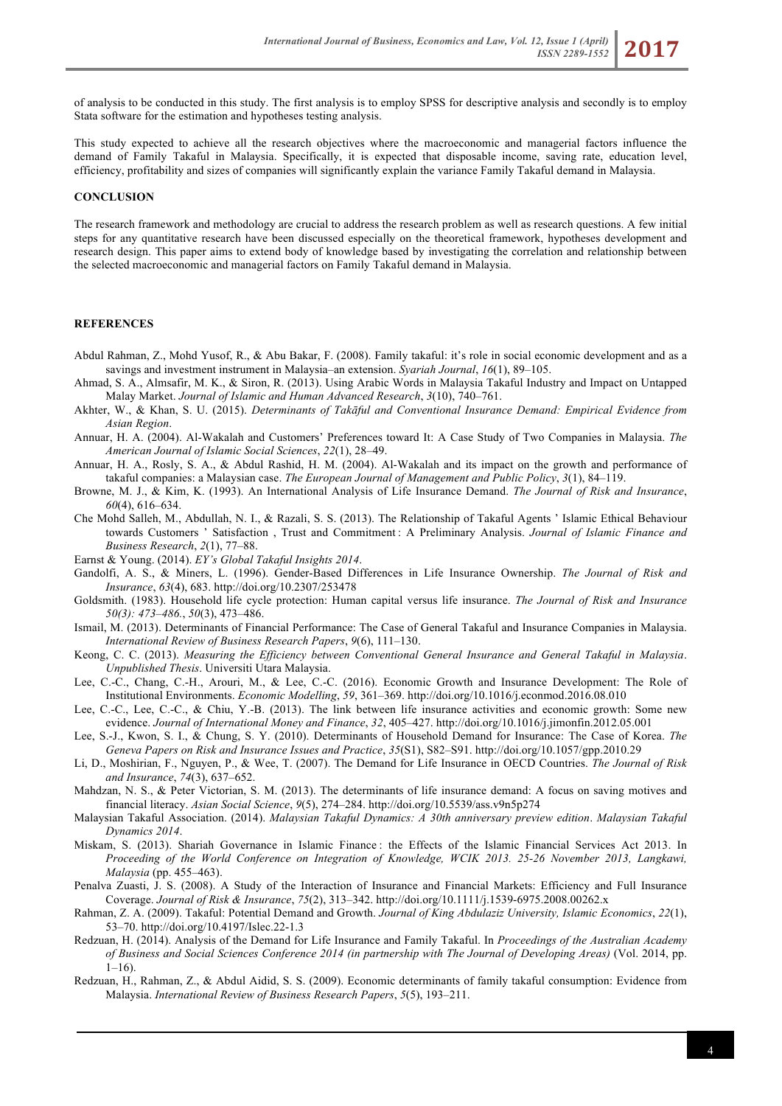of analysis to be conducted in this study. The first analysis is to employ SPSS for descriptive analysis and secondly is to employ Stata software for the estimation and hypotheses testing analysis.

This study expected to achieve all the research objectives where the macroeconomic and managerial factors influence the demand of Family Takaful in Malaysia. Specifically, it is expected that disposable income, saving rate, education level, efficiency, profitability and sizes of companies will significantly explain the variance Family Takaful demand in Malaysia.

#### **CONCLUSION**

The research framework and methodology are crucial to address the research problem as well as research questions. A few initial steps for any quantitative research have been discussed especially on the theoretical framework, hypotheses development and research design. This paper aims to extend body of knowledge based by investigating the correlation and relationship between the selected macroeconomic and managerial factors on Family Takaful demand in Malaysia.

#### **REFERENCES**

- Abdul Rahman, Z., Mohd Yusof, R., & Abu Bakar, F. (2008). Family takaful: it's role in social economic development and as a savings and investment instrument in Malaysia–an extension. *Syariah Journal*, *16*(1), 89–105.
- Ahmad, S. A., Almsafir, M. K., & Siron, R. (2013). Using Arabic Words in Malaysia Takaful Industry and Impact on Untapped Malay Market. *Journal of Islamic and Human Advanced Research*, *3*(10), 740–761.
- Akhter, W., & Khan, S. U. (2015). *Determinants of Takāful and Conventional Insurance Demand: Empirical Evidence from Asian Region*.
- Annuar, H. A. (2004). Al-Wakalah and Customers' Preferences toward It: A Case Study of Two Companies in Malaysia. *The American Journal of Islamic Social Sciences*, *22*(1), 28–49.
- Annuar, H. A., Rosly, S. A., & Abdul Rashid, H. M. (2004). Al-Wakalah and its impact on the growth and performance of takaful companies: a Malaysian case. *The European Journal of Management and Public Policy*, *3*(1), 84–119.
- Browne, M. J., & Kim, K. (1993). An International Analysis of Life Insurance Demand. *The Journal of Risk and Insurance*, *60*(4), 616–634.
- Che Mohd Salleh, M., Abdullah, N. I., & Razali, S. S. (2013). The Relationship of Takaful Agents ' Islamic Ethical Behaviour towards Customers ' Satisfaction , Trust and Commitment : A Preliminary Analysis. *Journal of Islamic Finance and Business Research*, *2*(1), 77–88.
- Earnst & Young. (2014). *EY's Global Takaful Insights 2014*.
- Gandolfi, A. S., & Miners, L. (1996). Gender-Based Differences in Life Insurance Ownership. *The Journal of Risk and Insurance*, *63*(4), 683. http://doi.org/10.2307/253478
- Goldsmith. (1983). Household life cycle protection: Human capital versus life insurance. *The Journal of Risk and Insurance 50(3): 473–486.*, *50*(3), 473–486.
- Ismail, M. (2013). Determinants of Financial Performance: The Case of General Takaful and Insurance Companies in Malaysia. *International Review of Business Research Papers*, *9*(6), 111–130.
- Keong, C. C. (2013). *Measuring the Efficiency between Conventional General Insurance and General Takaful in Malaysia*. *Unpublished Thesis*. Universiti Utara Malaysia.
- Lee, C.-C., Chang, C.-H., Arouri, M., & Lee, C.-C. (2016). Economic Growth and Insurance Development: The Role of Institutional Environments. *Economic Modelling*, *59*, 361–369. http://doi.org/10.1016/j.econmod.2016.08.010
- Lee, C.-C., Lee, C.-C., & Chiu, Y.-B. (2013). The link between life insurance activities and economic growth: Some new evidence. *Journal of International Money and Finance*, *32*, 405–427. http://doi.org/10.1016/j.jimonfin.2012.05.001
- Lee, S.-J., Kwon, S. I., & Chung, S. Y. (2010). Determinants of Household Demand for Insurance: The Case of Korea. *The Geneva Papers on Risk and Insurance Issues and Practice*, *35*(S1), S82–S91. http://doi.org/10.1057/gpp.2010.29
- Li, D., Moshirian, F., Nguyen, P., & Wee, T. (2007). The Demand for Life Insurance in OECD Countries. *The Journal of Risk and Insurance*, *74*(3), 637–652.
- Mahdzan, N. S., & Peter Victorian, S. M. (2013). The determinants of life insurance demand: A focus on saving motives and financial literacy. *Asian Social Science*, *9*(5), 274–284. http://doi.org/10.5539/ass.v9n5p274
- Malaysian Takaful Association. (2014). *Malaysian Takaful Dynamics: A 30th anniversary preview edition*. *Malaysian Takaful Dynamics 2014*.
- Miskam, S. (2013). Shariah Governance in Islamic Finance : the Effects of the Islamic Financial Services Act 2013. In *Proceeding of the World Conference on Integration of Knowledge, WCIK 2013. 25-26 November 2013, Langkawi, Malaysia* (pp. 455–463).
- Penalva Zuasti, J. S. (2008). A Study of the Interaction of Insurance and Financial Markets: Efficiency and Full Insurance Coverage. *Journal of Risk & Insurance*, *75*(2), 313–342. http://doi.org/10.1111/j.1539-6975.2008.00262.x
- Rahman, Z. A. (2009). Takaful: Potential Demand and Growth. *Journal of King Abdulaziz University, Islamic Economics*, *22*(1), 53–70. http://doi.org/10.4197/Islec.22-1.3
- Redzuan, H. (2014). Analysis of the Demand for Life Insurance and Family Takaful. In *Proceedings of the Australian Academy of Business and Social Sciences Conference 2014 (in partnership with The Journal of Developing Areas)* (Vol. 2014, pp.  $1-16$ ).
- Redzuan, H., Rahman, Z., & Abdul Aidid, S. S. (2009). Economic determinants of family takaful consumption: Evidence from Malaysia. *International Review of Business Research Papers*, *5*(5), 193–211.